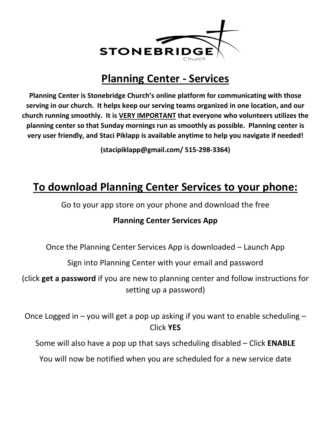

## **Planning Center - Services**

**Planning Center is Stonebridge Church's online platform for communicating with those serving in our church. It helps keep our serving teams organized in one location, and our church running smoothly. It is VERY IMPORTANT that everyone who volunteers utilizes the planning center so that Sunday mornings run as smoothly as possible. Planning center is very user friendly, and Staci Piklapp is available anytime to help you navigate if needed!**

**(stacipiklapp@gmail.com/ 515-298-3364)**

# **To download Planning Center Services to your phone:**

Go to your app store on your phone and download the free

#### **Planning Center Services App**

Once the Planning Center Services App is downloaded – Launch App

Sign into Planning Center with your email and password

(click **get a password** if you are new to planning center and follow instructions for setting up a password)

Once Logged in – you will get a pop up asking if you want to enable scheduling – Click **YES**

Some will also have a pop up that says scheduling disabled – Click **ENABLE**

You will now be notified when you are scheduled for a new service date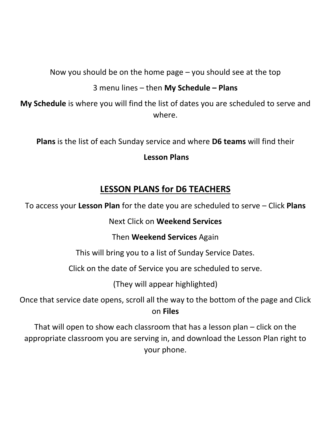Now you should be on the home page – you should see at the top

3 menu lines – then **My Schedule – Plans**

**My Schedule** is where you will find the list of dates you are scheduled to serve and where.

**Plans** is the list of each Sunday service and where **D6 teams** will find their

**Lesson Plans**

## **LESSON PLANS for D6 TEACHERS**

To access your **Lesson Plan** for the date you are scheduled to serve – Click **Plans**

Next Click on **Weekend Services**

Then **Weekend Services** Again

This will bring you to a list of Sunday Service Dates.

Click on the date of Service you are scheduled to serve.

(They will appear highlighted)

Once that service date opens, scroll all the way to the bottom of the page and Click on **Files**

That will open to show each classroom that has a lesson plan – click on the appropriate classroom you are serving in, and download the Lesson Plan right to your phone.